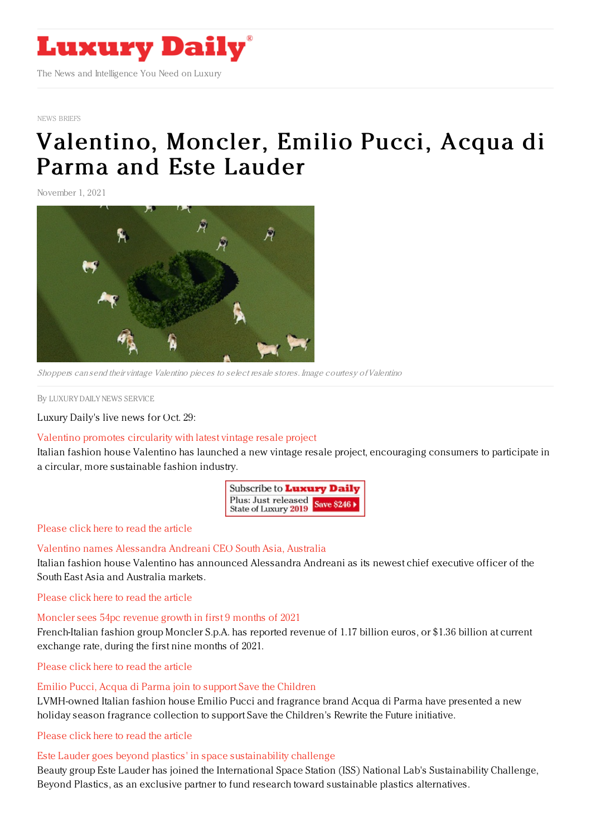

NEWS [BRIEFS](https://www.luxurydaily.com/category/resources/news-briefs)

# [Valentino,](https://www.luxurydaily.com/valentino-moncler-emilio-pucci-acqua-di-parma-and-estee-lauder/) Moncler, Emilio Pucci, Acqua di Parma and Este Lauder

November 1, 2021



Shoppers can send their vintage Valentino pieces to select resale stores. Image courtesy ofValentino

By LUXURY DAILY NEWS [SERVICE](file:///author/luxury-daily-news-service)

Luxury Daily's live news for Oct. 29:

## Valentino promotes [circularity](https://www.luxurydaily.com/valentino-promotes-circularity-with-latest-vintage-resale-project/) with latest vintage resale project

Italian fashion house Valentino has launched a new vintage resale project, encouraging consumers to participate in a circular, more sustainable fashion industry.

| Subscribe to Luxury Daily                                |  |
|----------------------------------------------------------|--|
| Plus: Just released<br>State of Luxury 2019 Save \$246 > |  |

### [Please](https://www.luxurydaily.com/valentino-promotes-circularity-with-latest-vintage-resale-project/) click here to read the article

## Valentino names [Alessandra](https://www.luxurydaily.com/valentino-names-alessandra-andreani-ceo-south-asia-australia/) Andreani CEO South Asia, Australia

Italian fashion house Valentino has announced Alessandra Andreani as its newest chief executive officer of the South East Asia and Australia markets.

[Please](https://www.luxurydaily.com/valentino-names-alessandra-andreani-ceo-south-asia-australia/) click here to read the article

## [Moncler](https://www.luxurydaily.com/moncler-q3-results-2021/) sees 54pc revenue growth in first 9 months of 2021

French-Italian fashion group Moncler S.p.A. has reported revenue of 1.17 billion euros, or \$1.36 billion at current exchange rate, during the first nine months of 2021.

[Please](https://www.luxurydaily.com/moncler-q3-results-2021/) click here to read the article

## Emilio Pucci, Acqua di Parma join to support Save the [Children](https://www.luxurydaily.com/emilio-pucci-acqua-di-parma-save-the-children/)

LVMH-owned Italian fashion house Emilio Pucci and fragrance brand Acqua di Parma have presented a new holiday season fragrance collection to support Save the Children's Rewrite the Future initiative.

[Please](https://www.luxurydaily.com/emilio-pucci-acqua-di-parma-save-the-children/) click here to read the article

## Este Lauder goes beyond plastics' in space [sustainability](https://www.luxurydaily.com/estee-lauder-goes-beyond-plastics-in-space-sustainability-challenge/) challenge

Beauty group Este Lauder has joined the International Space Station (ISS) National Lab's Sustainability Challenge, Beyond Plastics, as an exclusive partner to fund research toward sustainable plastics alternatives.